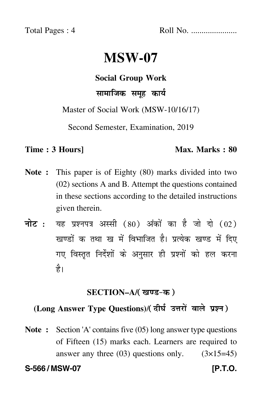Total Pages : 4 Roll No. ......................

# **MSW-07**

**Social Group Work**

सामाजिक समूह कार्य  $\ddot{\phantom{0}}$ 

Master of Social Work (MSW-10/16/17)

Second Semester, Examination, 2019

### **Time : 3 Hours]** Max. Marks : 80

- **Note :** This paper is of Eighty (80) marks divided into two (02) sections A and B. Attempt the questions contained in these sections according to the detailed instructions given therein.
- नोट : यह प्रश्नपत्र अस्सी (80) अंकों का है जो दो (02) खण्डों क तथा ख में विभाजित है। प्रत्येक खण्ड में दिए गए विस्तृत निर्देशों के अनुसार ही प्रश्नों को हल करन<mark>ा</mark> है।

### <u>SECTION–A/( खण्ड-क )</u>

## (Long Answer Type Questions)/( दीर्घ उत्तरों वाले प्रश्न )

**Note :** Section 'A' contains five (05) long answer type questions of Fifteen (15) marks each. Learners are required to answer any three  $(03)$  questions only.  $(3\times15=45)$ 

**S-566 / MSW-07 [P.T.O.**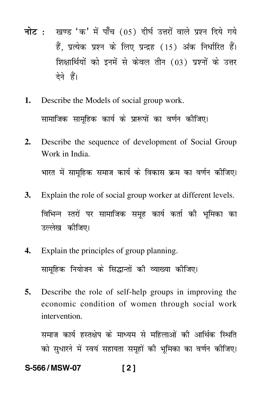- <mark>नोट</mark> : खण्ड 'क' में पाँच (05) दीर्घ उत्तरों वाले प्रश्न दिये गये हैं, प्रत्येक प्रश्न के लिए प्रन्द्रह (15) अंक निर्धारित हैं। शिक्षार्थियों को इनमें से केवल तीन (03) प्रश्नों के उत्तर देने हैं।
- **1.** Describe the Models of social group work. सामाजिक सामूहिक कार्य के प्रारूपों का वर्णन कीजिए।
- **2.** Describe the sequence of development of Social Group Work in India. भारत में सामूहिक समाज कार्य के विकास क्रम का वर्णन कीजिए। -
- **3.** Explain the role of social group worker at different levels. विभिन्न स्तरों पर सामाजिक समूह कार्य कर्ता की भूमिका का उल्लेख कीजिए।
- **4.** Explain the principles of group planning. सामूहिक नियोजन के सिद्धान्तों की व्याख्या कोजिए।  $\mathfrak{f}$ --
- **5.** Describe the role of self-help groups in improving the economic condition of women through social work intervention.

समाज कार्य हस्तक्षेप के माध्यम से महिलाओं की आर्थिक स्थिति को सुधारने में स्वयं सहायता समूहों की भूमिका का वर्णन कीजिए।

### **S-566 / MSW-07 [ 2 ]**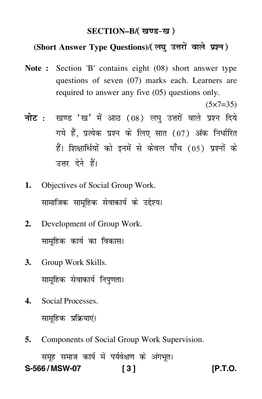### SECTION–B/( खण्ड-ख )

### (Short Answer Type Questions)/(लघु उत्तरों वाले प्रश्न)

- **Note :** Section 'B' contains eight (08) short answer type questions of seven (07) marks each. Learners are required to answer any five (05) questions only.
- <mark>नोट</mark> : खण्ड 'ख' में आठ (08) लघु उत्तरों वाले प्रश्न दिये गये हैं, प्रत्येक प्रश्न के लिए सात (07) अंक निर्धारित हैं। शिक्षार्थियों को इनमें से केवल पाँच (05) प्रश्नों के उत्तर देने हैं।
- **1.** Objectives of Social Group Work. सामाजिक सामूहिक सेवाकार्य के उद्देश्य।
- **2.** Development of Group Work. सामूहिक कार्य का विकास।
- **3.** Group Work Skills. सामूहिक सेवाकार्य निपुणता।
- **4.** Social Processes.

सामूहिक प्रक्रियाएं। -

**5.** Components of Social Group Work Supervision.

समूह समाज कार्य में पर्यवेक्षण के अंगभूत।

# **S-566 / MSW-07 [ 3 ] [P.T.O.**

 $(5 \times 7 = 35)$